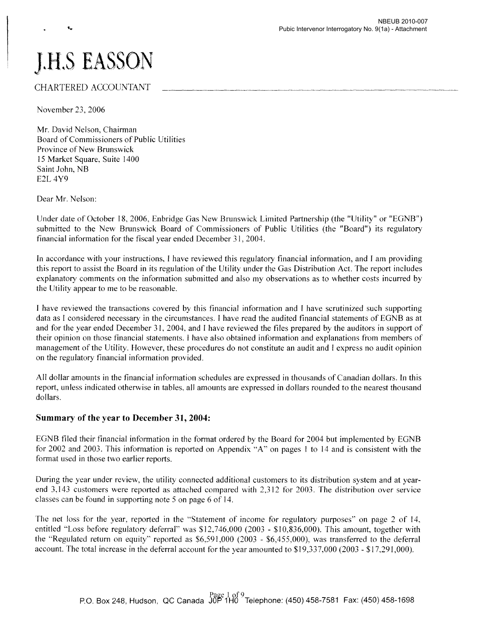# **J.H.S EASSON**

# CHARTERED ACCOUNTANT

November 23,2006

Mr. David Nelson, Chairman Board of Commissioners of Public Utilities Province of New Brunswick 15 Market Square, Suite 1400 Saint John, NB E2L 4Y9

Dear Mr. Nelson:

Under date of October 18,2006, Enbridge Gas New Brunswick Limited Partnership (the "Utility" or "EGNB") submitted to the New Brunswick Board of Commissioners of Public Utilities (the "Board") its regulatory financial information for the fiscal year ended December 31,2004.

In accordance with your instructions, I have reviewed this regulatory financial information, and I am providing this report to assist the Board in its regulation of the Utility under the Gas Distribution Act. The report includes explanatory comments on the information submitted and also my observations as to whether costs incurred by the Utility appear to me to be reasonable.

I have reviewed the transactions covered by this financial information and I have scrutinized such supporting data as I considered necessary in the circumstances. I have read the audited financial statements of EGNB as at and for the year ended December 31, 2004, and I have reviewed the files prepared by the auditors in support of their opinion on those financial statements. I have also obtained information and explanations from members of management of the Utility. However, these procedures do not constitute an audit and I express no audit opinion on the regulatory financial information provided.

All dollar amounts in the financial information schedules are expressed in thousands of Canadian dollars. In this report, unless indicated otherwise in tables. all amounts are expressed in dollars rounded to the nearest thousand dollars.

## **Summary** of the **year to December 31,2004:**

EGNB filed their financial information in the format ordered by the Board for 2004 but implemented by EGNB for 2002 and 2003. This information is reported on Appendix "A" on pages I to 14 and is consistent with the format used in those two earlier reports.

During the year under review, the utility connected additional customers to its distribution system and at yearend 3,143 customers were reported as attached compared with 2,312 for 2003. The distribution over service classes can be found in supporting note 5 on page 6 of 14.

The net loss for the year, reported in the "Statement of income for regulatory purposes" on page 2 of 14, entitled "Loss before regulatory deferral" was \$12,746,000 (2003 - \$10,836,000). This amount, together with the "Regulated return on equity" reported as \$6,591,000 (2003 - \$6,455,000), was transferred to the deferral account. The total increase in the deferral account for the year amounted to \$19,337,000 (2003 - \$17,291,000).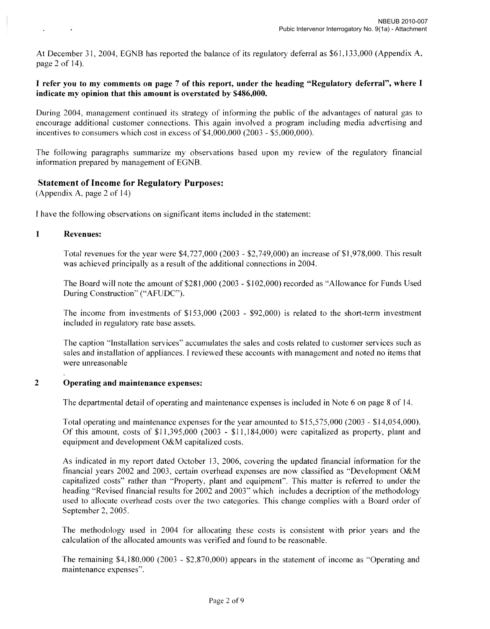At December 31, 2004, EGNB has reported the balance of its regulatory deferral as \$61,133,000 (Appendix A, page 2 of 14).

## I refer you to my comments on page 7 of this report, under the heading "Regulatory deferral", where I indicate my opinion that this amount is overstated by \$486,000.

During 2004, management continued its strategy of informing the public of the advantages of natural gas to encourage additional customer connections. This again involved a program including media advertising and incentives to consumers which cost in excess of  $$4,000,000 (2003 - $5,000,000)$ .

The following paragraphs summarize my observations based upon my review of the regulatory financial information prepared by management of EGNB.

## Statement of Income for Regulatory Purposes:

(Appendix A, page 2 of 14)

I have the following observations on significant items included in the statement:

## 1 Revenues:

Total revenues for the year were \$4,727,000 (2003 - \$2,749,000) an increase of\$I,978,000. This result was achieved principally as a result of the additional connections in 2004.

The Board will note the amount of \$28 1,000 (2003 - \$102,000) recorded as "Allowance for Funds Used During Construction" ("AFUDC").

The income from investments of \$153,000 (2003 - \$92,000) is related to the short-term investment included in regulatory rate base assets.

The caption "Installation services" accumulates the sales and costs related to customer services such as sales and installation of appliances. I reviewed these accounts with management and noted no items that were unreasonable

## 2 Operating and maintenance expenses:

The departmental detail of operating and maintenance expenses is included in Note 6 on page 8 of 14.

Total operating and maintenance expenses for the year amounted to \$15,575,000 (2003 - \$14,054,000). Of this amount, costs of  $$11,395,000$  (2003 -  $$11,184,000$ ) were capitalized as property, plant and equipment and development O&M capitalized costs.

As indicated in my report dated October 13, 2006, covering the updated financial information for the financial years 2002 and 2003, certain overhead expenses are now classified as "Development O&M capitalized costs" rather than "Property, plant and equipment". This matter is referred to under the heading "Revised financial results for 2002 and 2003" which includes a decription of the methodology used to allocate overhead costs over the two categories. This change complies with a Board order of September 2, 2005.

The methodology used in 2004 for allocating these costs is consistent with prior years and the calculation of the allocated amounts was verified and found to be reasonable.

The remaining \$4,180,000 (2003 - \$2,870,000) appears in the statement of income as "Operating and maintenance expenses".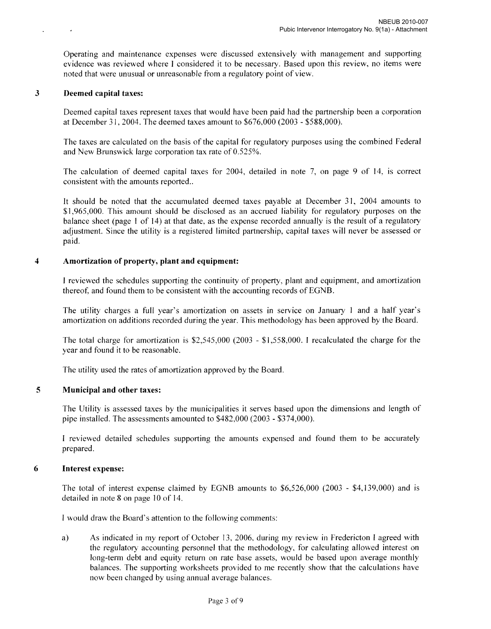Operating and maintenance expenses were discussed extensively with management and supporting evidence was reviewed where I considered it to be necessary. Based upon this review, no items were noted that were unusual or unreasonable from a regulatory point of view.

#### 3 Deemed capital taxes:

 $\rightarrow$ 

 $\ddot{\phantom{a}}$ 

Deemed capital taxes represent taxes that would have been paid had the partnership been a corporation at December 31,2004. The deemed taxes amount to \$676,000 (2003 - \$588,000).

The taxes are calculated on the basis of the capital for regulatory purposes using the combined Federal and New Brunswick large corporation tax rate of 0.525%.

The calculation of deemed capital taxes for 2004, detailed in note 7, on page 9 of 14, is correct consistent with the amounts reported..

It should be noted that the accumulated deemed taxes payable at December 31, 2004 amounts to \$1,965,000. This amount should be disclosed as an accrued liability for regulatory purposes on the balance sheet (page 1 of 14) at that date, as the expense recorded annually is the result of a regulatory adjustment. Since the utility is a registered limited partnership, capital taxes will never be assessed or paid.

## 4 Amortization of property, plant and equipment:

I reviewed the schedules supporting the continuity of property, plant and equipment, and amortization thereof, and found them to be consistent with the accounting records of EGNB.

The utility charges a full year's amortization on assets in service on January I and a half year's amortization on additions recorded during the year. This methodology has been approved by the Board.

The total charge for amortization is \$2,545,000 (2003 - \$1,558,000. I recalculated the charge for the year and found it to be reasonable.

The utility used the rates of amortization approved by the Board.

## 5 Municipal and other taxes:

The Utility is assessed taxes by the municipalities it serves based upon the dimensions and length of pipe installed. The assessments amounted to \$482,000 (2003 - \$374,000).

I reviewed detailed schedules supporting the amounts expensed and found them to be accurately prepared.

#### 6 Interest expense:

The total of interest expense claimed by EGNB amounts to \$6,526,000 (2003 - \$4,139,000) and is detailed in note 8 on page 10 of 14.

I would draw the Board's attention to the following comments:

a) As indicated in my report of October 13, 2006, during my review in Fredericton I agreed with the regulatory accounting personnel that the methodology, for calculating allowed interest on long-term debt and equity return on rate base assets, would be based upon average monthly balances. The supporting worksheets provided to me recently show that the calculations have now been changed by using annual average balances.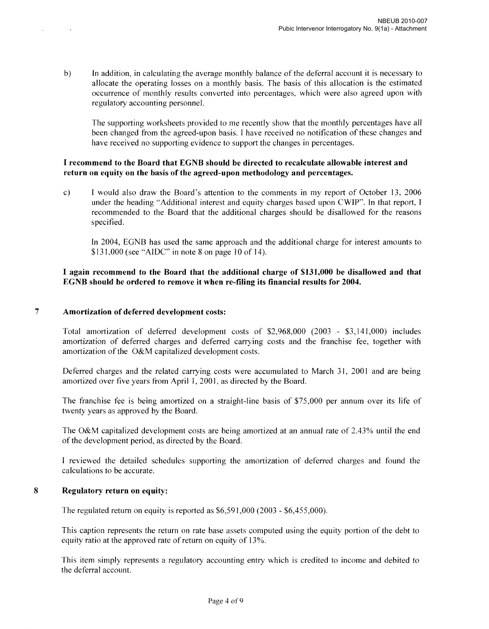b) In addition, in calculating the average monthly balance of the deferral account it is necessary to allocate the operating losses on a monthly basis. The basis of this allocation is the estimated occurrence of monthly results converted into percentages, which were also agreed upon with regulatory accounting personnel.

The supporting worksheets provided to me recently show that the monthly percentages have all been changed from the agreed-upon basis. I have received no notification of these changes and have received no supporting evidence to support the changes in percentages.

## I recommend to the Board that EGNB should be directed to recalculate allowable interest and return on equity on the basis of the agreed-upon methodology and percentages.

c) I would also draw the Board's attention to the comments in my report of October 13, 2006 under the heading "Additional interest and equity charges based upon CWIP". In that report, I recommended to the Board that the additional charges should be disallowed for the reasons specified.

In 2004, EGNB has used the same approach and the additional charge for interest amounts to  $$131,000$  (see "AIDC" in note 8 on page 10 of 14).

## I again recommend to the Board that the additional charge of \$131,000 be disallowed and that EGNB should be ordered to remove it when re-filing its financial results for 2004.

#### 7 Amortization of deferred development costs:

 $\mathcal{L}$ 

Total amortization of deferred development costs of \$2,968,000 (2003 - \$3,141,000) includes amortization of deferred charges and deferred carrying costs and the franchise fee, together with amortization of the O&M capitalized development costs.

Deferred charges and the related carrying costs were accumulated to March 31, 2001 and are being amortized over five years from April 1, 2001, as directed by the Board.

The franchise fee is being amortized on a straight-line basis of \$75,000 per annum over its life of twenty years as approved by the Board.

The O&M capitalized development costs are being amortized at an annual rate of 2.43% until the end of the development period, as directed by the Board.

I reviewed the detailed schedules supporting the amortization of deferred charges and found the calculations to be accurate.

#### 8 Regulatory return on equity:

The regulated return on equity is reported as \$6,591,000 (2003 - \$6,455,000).

This caption represents the return on rate base assets computed using the equity portion of the debt to equity ratio at the approved rate of return on equity of 13%.

This item simply represents a regulatory accounting entry which is credited to income and debited to the deferral account.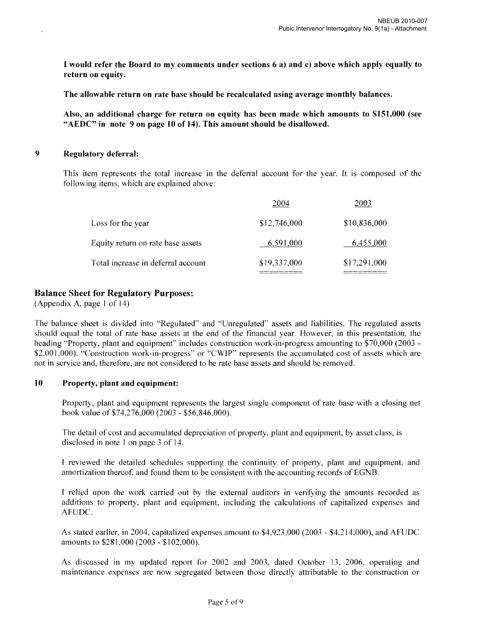I would refer the Board to my comments under sections 6 a) and c) above which apply equally to return on equity.

The allowable return on rate base should be recalculated using average monthly balances.

Also, an additional charge for return on equity has been made which amounts to \$151,000 (see "AEDC" in note 9 on page 10 of 14). This amount should be disallowed.

#### 9 Regulatory deferral:

This item represents the total increase in the deferral account for the year. It is composed of the following items, which are explained above:

|                                    | 2004         | 2003         |
|------------------------------------|--------------|--------------|
| Loss for the year                  | \$12,746,000 | \$10,836,000 |
| Equity return on rate base assets  | 6,591,000    | 6,455,000    |
| Total increase in deferral account | \$19,337,000 | \$17,291,000 |

# Balance Sheet for Regulatory Purposes:

(Appendix A, page I of 14)

The balance sheet is divided into "Regulated" and "Unregulated" assets and liabilities. The regulated assets should equal the total of rate base assets at the end of the financial year. However, in this presentation, the heading "Property, plant and equipment" includes construction work-in-progress amounting to \$70,000 (2003 -\$2,001,000). "Construction work-in-progress" or "CWIP" represents the accumulated cost of assets which are not in service and, therefore, are not considered to be rate base assets and should be removed.

#### 10 Property, plant and equipment:

Property, plant and equipment represents the largest single component of rate base with a closing net book value of \$74,276,000 (2003 - \$56,846,000).

The detail of cost and accumulated depreciation of property, plant and equipment, by asset class, is disclosed in note 1 on page 3 of 14.

I reviewed the detailed schedules supporting the continuity of property, plant and equipment, and amortization thereof, and found them to be consistent with the accounting records of EGNB.

I relied upon the work carried out by the external auditors in verifying the amounts recorded as additions to property, plant and equipment, including the calculations of capitalized expenses and AFUDC.

As stated earlier, in 2004, capitalized expenses amount to \$4,923,000 (2003 - \$4.214,000), and AFUDC amounts to \$281,000 (2003 - \$102,000).

As discussed in my updated report for 2002 and 2003, dated October 13, 2006, operating and maintenance expenses are now segregated between those directly attributable to the construction or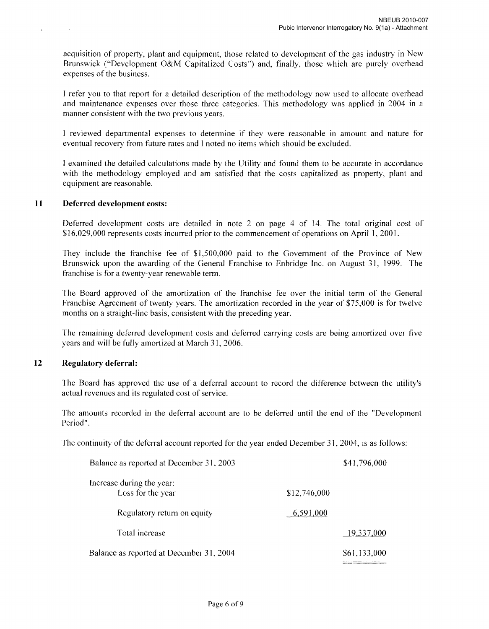acquisition of property, plant and equipment, those related to development of the gas industry in New Brunswick ("Development O&M Capitalized Costs") and, finally, those which are purely overhead expenses of the business.

I refer you to that report for a detailed description of the methodology now used to allocate overhead and maintenance expenses over those three categories. This methodology was applied in 2004 in a manner consistent with the two previous years.

I reviewed departmental expenses to determine if they were reasonable in amount and nature for eventual recovery from future rates and I noted no items which should be excluded.

I examined the detailed calculations made by the Utility and found them to be accurate in accordance with the methodology employed and am satisfied that the costs capitalized as property, plant and equipment are reasonable.

#### **11 Deferred development** costs:

 $\sim$ 

 $\ddot{\phantom{1}}$ 

Deferred development costs are detailed in note 2 on page 4 of 14. The total original cost of \$16,029,000 represents costs incurred prior to the commencement of operations on April 1,2001.

They include the franchise fee of \$1,500,000 paid to the Government of the Province of New Brunswick upon the awarding of the General Franchise to Enbridge Inc. on August 31, 1999. The franchise is for a twenty-year renewable term.

The Board approved of the amortization of the franchise fee over the initial term of the General Franchise Agreement of twenty years. The amortization recorded in the year of \$75,000 is for twelve months on a straight-line basis, consistent with the preceding year.

The remaining deferred development costs and deferred carrying costs are being amortized over five years and will be fully amortized at March 31, 2006.

## **12 Regulatory deferral:**

The Board has approved the use of a deferral account to record the difference between the utility's actual revenues and its regulated cost of service.

The amounts recorded in the deferral account are to be deferred until the end of the "Development Period".

The continuity of the deferral account reported for the year ended December 31, 2004, is as follows:

| Balance as reported at December 31, 2003       |              | \$41,796,000 |
|------------------------------------------------|--------------|--------------|
| Increase during the year:<br>Loss for the year | \$12,746,000 |              |
| Regulatory return on equity                    | 6,591,000    |              |
| Total increase                                 |              | 19,337,000   |
| Balance as reported at December 31, 2004       |              | \$61,133,000 |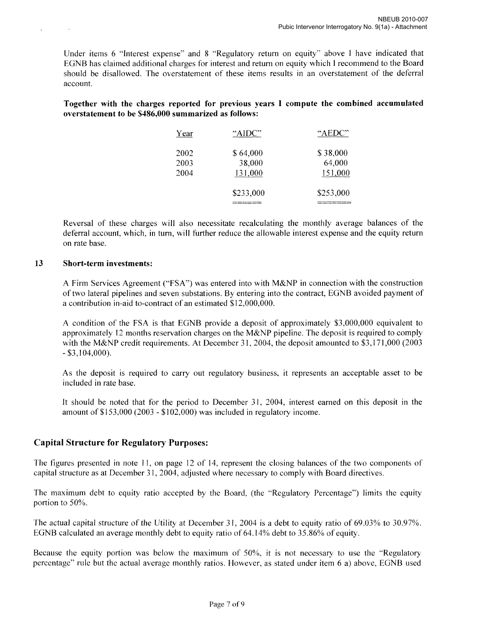Under items 6 "Interest expense" and 8 "Regulatory return on equity" above I have indicated that EGNB has claimed additional charges for interest and return on equity which I recommend to the Board should be disallowed. The overstatement of these items results in an overstatement of the deferral account.

Together with the charges reported for previous years I compute the combined accumulated overstatement to be \$486,000 summarized as follows:

| Year | "AIDC"    | "AEDC"    |
|------|-----------|-----------|
| 2002 | \$64,000  | \$38,000  |
| 2003 | 38,000    | 64,000    |
| 2004 | 131,000   | 151,000   |
|      | \$233,000 | \$253,000 |
|      |           |           |

Reversal of these charges will also necessitate recalculating the monthly average balances of the deferral account, which, in tum, will further reduce the allowable interest expense and the equity return on rate base.

#### 13 Short-term investments:

 $\sim$ 

A Firm Services Agreement ("FSA") was entered into with M&NP in connection with the construction of two lateral pipelines and seven substations. By entering into the contract, EGNB avoided payment of a contribution in-aid to-contract of an estimated \$12,000,000.

A condition of the FSA is that EGNB provide a deposit of approximately \$3,000,000 equivalent to approximately 12 months reservation charges on the M&NP pipeline. The deposit is required to comply with the M&NP credit requirements. At December 31, 2004, the deposit amounted to \$3,171,000 (2003 - \$3,104,000).

As the deposit is required to carry out regulatory business, it represents an acceptable asset to be included in rate base.

It should be noted that for the period to December 31, 2004, interest earned on this deposit in the amount of \$153,000 (2003 - \$102,000) was included in regulatory income.

## Capital Structure for Regulatory Purposes:

The figures presented in note 11, on page 12 of 14, represent the closing balances of the two components of capital structure as at December 31, 2004, adjusted where necessary to comply with Board directives.

The maximum debt to equity ratio accepted by the Board, (the "Regulatory Percentage") limits the equity portion to 50%.

The actual capital structure of the Utility at December 31,2004 is a debt to equity ratio of 69.03% to 30.97%. EGNB calculated an average monthly debt to equity ratio of 64.14% debt to 35.86% of equity.

Because the equity portion was below the maximum of 50%, it is not necessary to use the "Regulatory percentage" rule but the actual average monthly ratios. However, as stated under item 6 a) above, EGNB used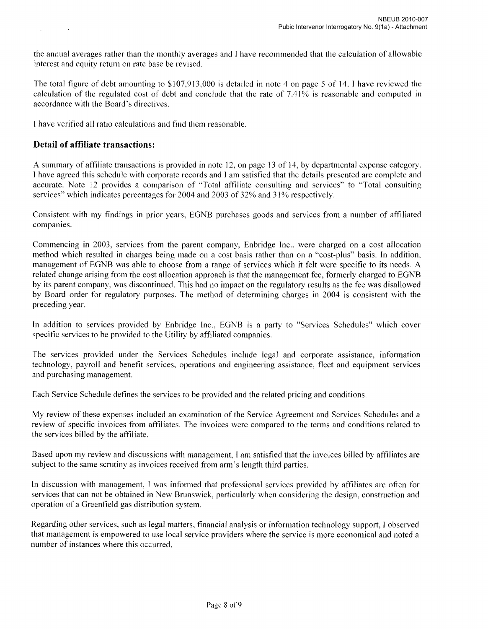The total figure of debt amounting to \$107,913,000 is detailed in note 4 on page 5 of 14. I have reviewed the calculation of the regulated cost of debt and conclude that the rate of 7.41 % is reasonable and computed in accordance with the Board's directives.

I have verified all ratio calculations and find them reasonable.

# **Detail of affiliate transactions:**

A summary of affiliate transactions is provided in note 12, on page 13 of 14, by departmental expense category. I have agreed this schedule with corporate records and I am satisfied that the details presented are complete and accurate. Note 12 provides a comparison of "Total affiliate consulting and services" to "Total consulting services" which indicates percentages for 2004 and 2003 of 32% and 31% respectively.

Consistent with my findings in prior years, EGNB purchases goods and services from a number of affiliated companies.

Commencing in 2003, services from the parent company, Enbridge Inc., were charged on a cost allocation method which resulted in charges being made on a cost basis rather than on a "cost-plus" basis. In addition, management of EGNB was able to choose from a range of services which it felt were specific to its needs. A related change arising from the cost allocation approach is that the management fee, formerly charged to EGNB by its parent company, was discontinued. This had no impact on the regulatory results as the fee was disallowed by Board order for regulatory purposes. The method of detennining charges in 2004 is consistent with the preceding year.

In addition to services provided by Enbridge Inc., EGNB is a party to "Services Schedules" which cover specific services to be provided to the Utility by affiliated companies.

The services provided under the Services Schedules include legal and corporate assistance, infonnation technology, payroll and benefit services, operations and engineering assistance, fleet and equipment services and purchasing management.

Each Service Schedule defines the services to be provided and the related pricing and conditions.

My review of these expenses included an examination of the Service Agreement and Services Schedules and a review of specific invoices from affiliates. The invoices were compared to the tenns and conditions related to the services billed by the affiliate.

Based upon my review and discussions with management, I am satisfied that the invoices billed by affiliates are subject to the same scrutiny as invoices received from arm's length third parties.

In discussion with management, I was informed that professional services provided by affiliates are often for services that can not be obtained in New Brunswick, particularly when considering the design, construction and operation of a Greenfield gas distribution system.

Regarding other services, such as legal matters, financial analysis or information technology support, I observed that management is empowered to use local service providers where the service is more economical and noted a number of instances where this occurred.